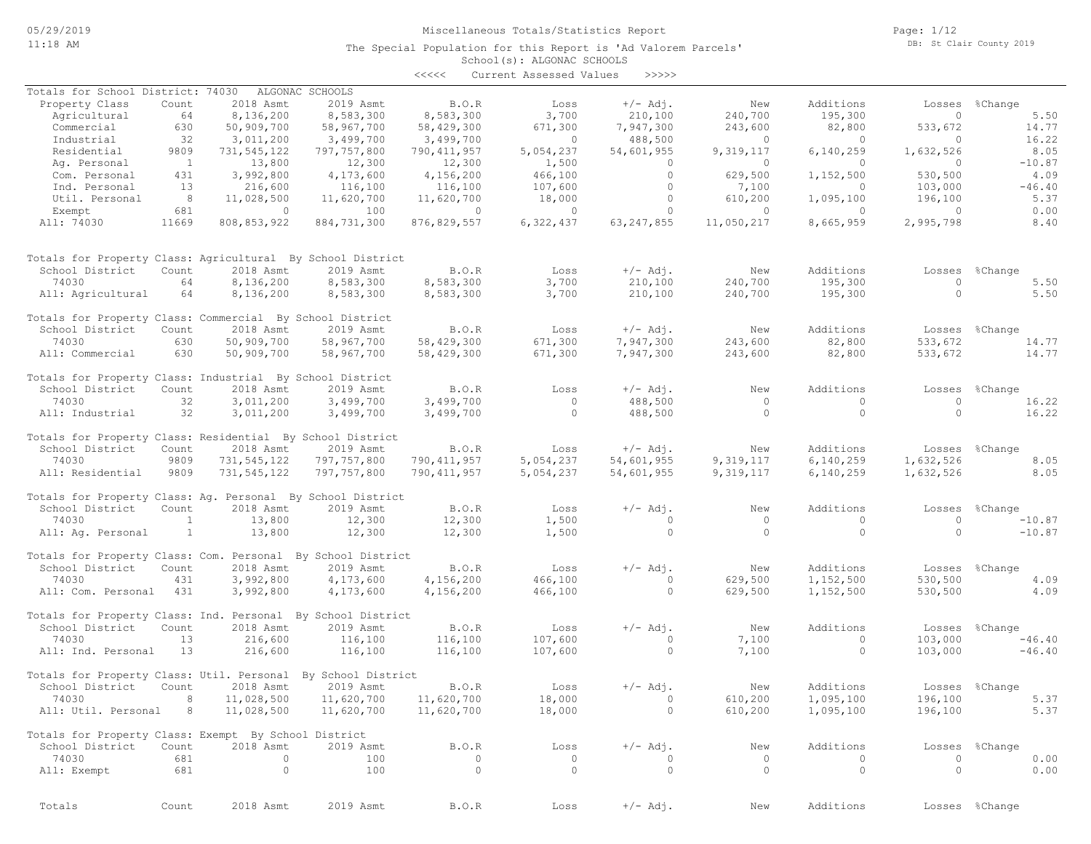The Special Population for this Report is 'Ad Valorem Parcels'

Page: 1/12 DB: St Clair County 2019

# School(s): ALGONAC SCHOOLS

|                                                              |                |               |                     | <<<<          | Current Assessed Values | >>>>>        |            |             |           |                |
|--------------------------------------------------------------|----------------|---------------|---------------------|---------------|-------------------------|--------------|------------|-------------|-----------|----------------|
| Totals for School District: 74030                            |                |               | ALGONAC SCHOOLS     |               |                         |              |            |             |           |                |
| Property Class                                               | Count          | 2018 Asmt     | 2019 Asmt           | B.O.R         | Loss                    | $+/-$ Adj.   | New        | Additions   | Losses    | %Change        |
| Agricultural                                                 | 64             | 8,136,200     | 8,583,300           | 8,583,300     | 3,700                   | 210,100      | 240,700    | 195,300     | $\circ$   | 5.50           |
| Commercial                                                   | 630            | 50,909,700    | 58,967,700          | 58,429,300    | 671,300                 | 7,947,300    | 243,600    | 82,800      | 533,672   | 14.77          |
| Industrial                                                   | 32             | 3,011,200     | 3,499,700           | 3,499,700     | $\circ$                 | 488,500      | $\circ$    | $\circ$     | $\circ$   | 16.22          |
| Residential                                                  | 9809           | 731,545,122   | 797,757,800         | 790, 411, 957 | 5,054,237               | 54,601,955   | 9,319,117  | 6,140,259   | 1,632,526 | 8.05           |
|                                                              | $\overline{1}$ |               | 12,300              |               | 1,500                   | $\circ$      | $\circ$    | $\circ$     | $\Omega$  | $-10.87$       |
| Ag. Personal                                                 | 431            | 13,800        |                     | 12,300        |                         | $\circ$      |            |             |           | 4.09           |
| Com. Personal                                                |                | 3,992,800     | 4,173,600           | 4,156,200     | 466,100                 |              | 629,500    | 1,152,500   | 530,500   |                |
| Ind. Personal                                                | 13             | 216,600       | 116,100             | 116,100       | 107,600                 | $\circ$      | 7,100      | 0           | 103,000   | $-46.40$       |
| Util. Personal                                               | 8              | 11,028,500    | 11,620,700          | 11,620,700    | 18,000                  | 0            | 610,200    | 1,095,100   | 196,100   | 5.37           |
| Exempt                                                       | 681            | $\circ$       | 100                 | $\circ$       | $\circ$                 | $\circ$      | $\circ$    | $\circ$     | $\circ$   | 0.00           |
| All: 74030                                                   | 11669          | 808,853,922   | 884,731,300         | 876,829,557   | 6,322,437               | 63, 247, 855 | 11,050,217 | 8,665,959   | 2,995,798 | 8.40           |
| Totals for Property Class: Agricultural By School District   |                |               |                     |               |                         |              |            |             |           |                |
| School District                                              | Count          | 2018 Asmt     | 2019 Asmt           | B.O.R         | Loss                    | $+/-$ Adj.   | New        | Additions   | Losses    | %Change        |
| 74030                                                        | 64             | 8,136,200     | 8,583,300           | 8,583,300     | 3,700                   | 210,100      | 240,700    | 195,300     | $\circ$   | 5.50           |
|                                                              |                |               |                     |               |                         |              |            |             | $\circ$   | 5.50           |
| All: Agricultural                                            | 64             | 8,136,200     | 8,583,300           | 8,583,300     | 3,700                   | 210,100      | 240,700    | 195,300     |           |                |
| Totals for Property Class: Commercial By School District     |                |               |                     |               |                         |              |            |             |           |                |
| School District                                              | Count          | 2018 Asmt     | 2019 Asmt           | B.O.R         | Loss                    | $+/-$ Adj.   | New        | Additions   |           | Losses %Change |
| 74030                                                        | 630            | 50,909,700    | 58,967,700          | 58,429,300    | 671,300                 | 7,947,300    | 243,600    | 82,800      | 533,672   | 14.77          |
| All: Commercial                                              | 630            | 50,909,700    | 58,967,700          | 58,429,300    | 671,300                 | 7,947,300    | 243,600    | 82,800      | 533,672   | 14.77          |
| Totals for Property Class: Industrial By School District     |                |               |                     |               |                         |              |            |             |           |                |
| School District                                              | Count          | 2018 Asmt     | 2019 Asmt           | B.O.R         | Loss                    | $+/-$ Adj.   | New        | Additions   | Losses    | %Change        |
| 74030                                                        | 32             | 3,011,200     | 3,499,700           | 3,499,700     | $\mathbf{0}$            | 488,500      | $\circ$    | $\Omega$    | $\Omega$  | 16.22          |
| All: Industrial                                              | 32             | 3,011,200     | 3,499,700           | 3,499,700     | $\circ$                 | 488,500      | $\circ$    | $\circ$     | $\Omega$  | 16.22          |
| Totals for Property Class: Residential By School District    |                |               |                     |               |                         |              |            |             |           |                |
| School District                                              | Count          | 2018 Asmt     | 2019 Asmt           | B.O.R         | Loss                    | $+/-$ Adj.   | New        | Additions   |           | Losses %Change |
| 74030                                                        | 9809           | 731,545,122   | 797,757,800         | 790, 411, 957 | 5,054,237               | 54,601,955   | 9,319,117  | 6, 140, 259 | 1,632,526 | 8.05           |
| All: Residential                                             | 9809           | 731, 545, 122 | 797,757,800         | 790, 411, 957 | 5,054,237               | 54,601,955   | 9,319,117  | 6,140,259   | 1,632,526 | 8.05           |
|                                                              |                |               |                     |               |                         |              |            |             |           |                |
| Totals for Property Class: Ag. Personal By School District   |                |               |                     |               |                         |              |            |             |           |                |
| School District                                              | Count          | 2018 Asmt     | 2019 Asmt           | B.O.R         | Loss                    | $+/-$ Adj.   | New        | Additions   | Losses    | %Change        |
| 74030                                                        | $\mathbf{1}$   | 13,800        | 12,300              | 12,300        | 1,500                   | $\circ$      | $\circ$    | $\circ$     | $\circ$   | $-10.87$       |
| All: Ag. Personal                                            | $\mathbf{1}$   | 13,800        | 12,300              | 12,300        | 1,500                   | $\circ$      | $\circ$    | $\circ$     | $\circ$   | $-10.87$       |
|                                                              |                |               |                     |               |                         |              |            |             |           |                |
| Totals for Property Class: Com. Personal By School District  |                |               |                     |               |                         |              |            |             |           |                |
| School District                                              | Count          | 2018 Asmt     | 2019 Asmt           | B.O.R         | Loss                    | $+/-$ Adj.   | New        | Additions   | Losses    | %Change        |
| 74030                                                        | 431            | 3,992,800     | 4,173,600           | 4,156,200     | 466,100                 | $\circ$      | 629,500    | 1,152,500   | 530,500   | 4.09           |
| All: Com. Personal                                           | 431            | 3,992,800     | 4,173,600           | 4,156,200     | 466,100                 | $\circ$      | 629,500    | 1,152,500   | 530,500   | 4.09           |
| Totals for Property Class: Ind. Personal By School District  |                |               |                     |               |                         |              |            |             |           |                |
| School District                                              | Count          | 2018 Asmt     | 2019 Asmt           | B.O.R         | Loss                    | $+/-$ Adj.   | New        | Additions   | Losses    | %Change        |
| 74030                                                        | 13             | 216,600       | 116,100             | 116,100       | 107,600                 | $\circ$      | 7,100      | $\circ$     | 103,000   | $-46.40$       |
| All: Ind. Personal                                           | 13             | 216,600       | 116,100             | 116,100       | 107,600                 | $\circ$      | 7,100      | $\circ$     | 103,000   | $-46.40$       |
| Totals for Property Class: Util. Personal By School District |                |               |                     |               |                         |              |            |             |           |                |
| School District - Count                                      |                |               | 2018 Asmt 2019 Asmt | B.O.R         | Loss                    | $+/-$ Adj.   | New        | Additions   |           | Losses %Change |
| 74030                                                        | 8              | 11,028,500    | 11,620,700          | 11,620,700    | 18,000                  | $\circ$      | 610,200    | 1,095,100   | 196,100   | 5.37           |
| All: Util. Personal                                          | 8              | 11,028,500    | 11,620,700          | 11,620,700    | 18,000                  | $\circ$      | 610,200    | 1,095,100   | 196,100   | 5.37           |
| Totals for Property Class: Exempt By School District         |                |               |                     |               |                         |              |            |             |           |                |
| School District                                              | Count          | 2018 Asmt     | 2019 Asmt           | B.O.R         | Loss                    | $+/-$ Adj.   | New        | Additions   |           | Losses %Change |
| 74030                                                        | 681            | $\circ$       | 100                 | 0             | 0                       | $\circ$      | $\circ$    | $\circ$     | $\circ$   | 0.00           |
| All: Exempt                                                  | 681            | $\circ$       | 100                 | $\circ$       | $\circ$                 | $\circ$      | $\circ$    | $\circ$     | $\circ$   | 0.00           |
|                                                              |                |               |                     |               |                         |              |            |             |           |                |
| Totals                                                       | Count          | 2018 Asmt     | 2019 Asmt           | <b>B.O.R</b>  | Loss                    | $+/-$ Adj.   | New        | Additions   |           | Losses %Change |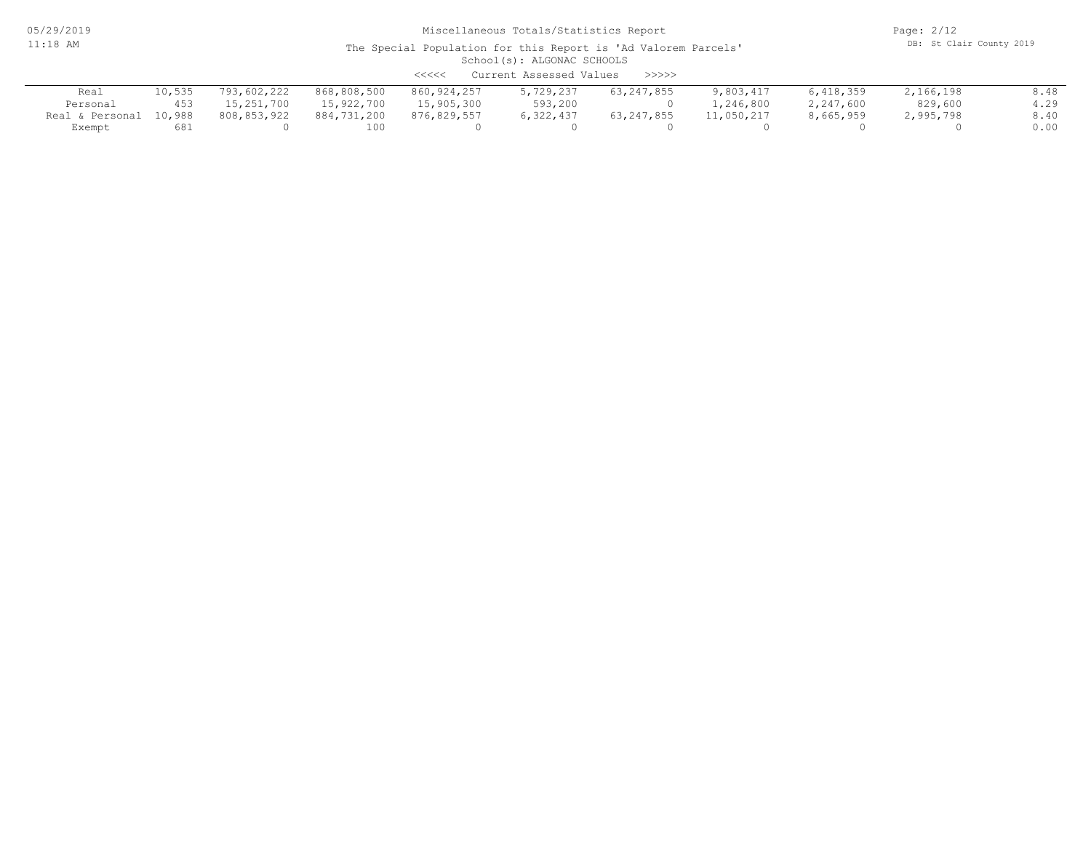05/29/2019 11:18 AM

## Miscellaneous Totals/Statistics Report

Page: 2/12 DB: St Clair County 2019

| Current Assessed Values<br><<<<<br>>>>>> |        |             |             |             |           |              |            |           |           |      |  |
|------------------------------------------|--------|-------------|-------------|-------------|-----------|--------------|------------|-----------|-----------|------|--|
| Real                                     | 10,535 | 793,602,222 | 868,808,500 | 860,924,257 | 5,729,237 | 63, 247, 855 | 9,803,417  | 6,418,359 | 2,166,198 | 8.48 |  |
| Personal                                 | 453    | 15,251,700  | 15,922,700  | 15,905,300  | 593,200   |              | 1,246,800  | 2,247,600 | 829,600   | 4.29 |  |
| Real & Personal                          | 10,988 | 808,853,922 | 884,731,200 | 876,829,557 | 6,322,437 | 63, 247, 855 | 11,050,217 | 8,665,959 | 995,798 ړ | 8.40 |  |
| Exempt                                   | 681    |             | 100         |             |           |              |            |           |           | 0.00 |  |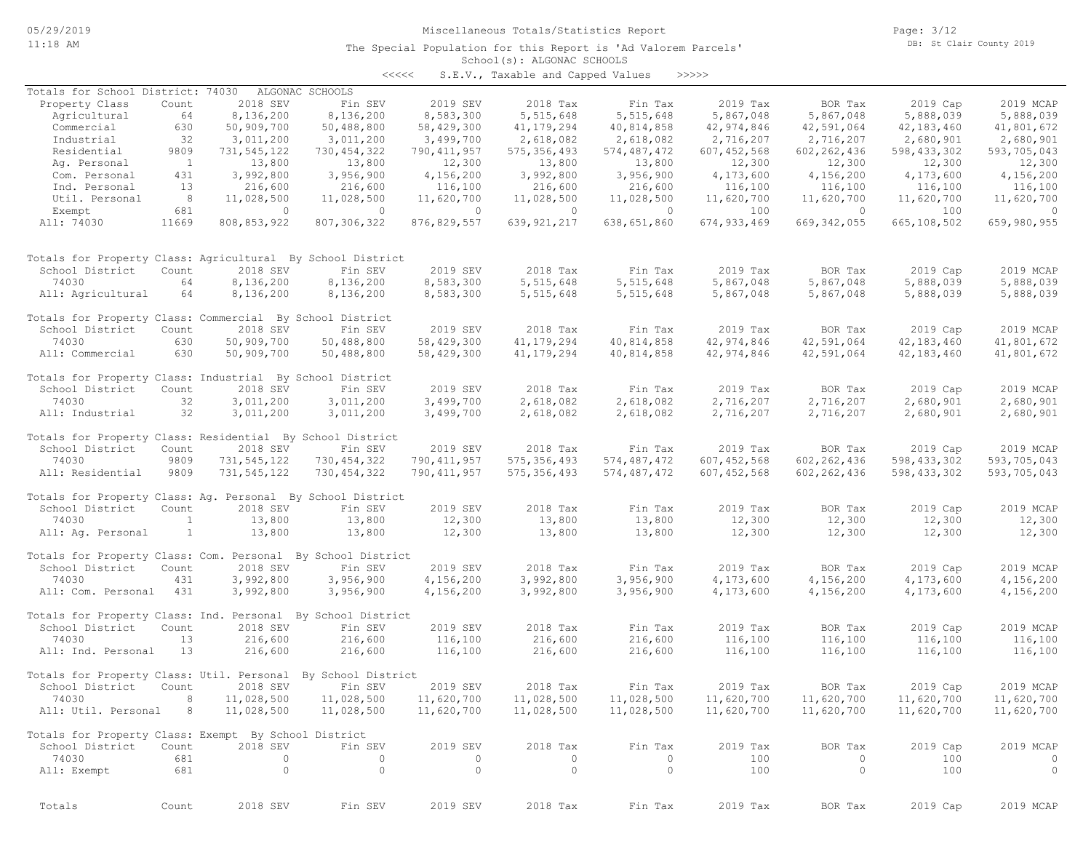The Special Population for this Report is 'Ad Valorem Parcels'

Page: 3/12 DB: St Clair County 2019

## School(s): ALGONAC SCHOOLS

| くくくくく | S.E.V., Taxable and Capped Values |  |  |  | >>>>> |
|-------|-----------------------------------|--|--|--|-------|
|-------|-----------------------------------|--|--|--|-------|

| Totals for School District: 74030                            |                          |                | ALGONAC SCHOOLS |               |               |               |               |                |               |                |
|--------------------------------------------------------------|--------------------------|----------------|-----------------|---------------|---------------|---------------|---------------|----------------|---------------|----------------|
| Property Class                                               | Count                    | 2018 SEV       | Fin SEV         | 2019 SEV      | 2018 Tax      | Fin Tax       | 2019 Tax      | BOR Tax        | 2019 Cap      | 2019 MCAP      |
| Agricultural                                                 | 64                       | 8,136,200      | 8,136,200       | 8,583,300     | 5,515,648     | 5, 515, 648   | 5,867,048     | 5,867,048      | 5,888,039     | 5,888,039      |
| Commercial                                                   | 630                      | 50,909,700     | 50,488,800      | 58,429,300    | 41, 179, 294  | 40,814,858    | 42,974,846    | 42,591,064     | 42,183,460    | 41,801,672     |
| Industrial                                                   | 32                       | 3,011,200      | 3,011,200       | 3,499,700     | 2,618,082     | 2,618,082     | 2,716,207     | 2,716,207      | 2,680,901     | 2,680,901      |
| Residential                                                  | 9809                     | 731,545,122    | 730, 454, 322   | 790, 411, 957 | 575, 356, 493 | 574,487,472   | 607, 452, 568 | 602, 262, 436  | 598, 433, 302 | 593,705,043    |
| Ag. Personal                                                 | $\overline{\phantom{1}}$ | 13,800         | 13,800          | 12,300        | 13,800        | 13,800        | 12,300        | 12,300         | 12,300        | 12,300         |
| Com. Personal                                                | 431                      | 3,992,800      | 3,956,900       | 4,156,200     | 3,992,800     | 3,956,900     | 4,173,600     | 4,156,200      | 4,173,600     | 4,156,200      |
| Ind. Personal                                                | 13                       | 216,600        | 216,600         | 116,100       | 216,600       | 216,600       | 116,100       | 116,100        | 116,100       | 116,100        |
| Util. Personal                                               | - 8                      | 11,028,500     | 11,028,500      | 11,620,700    | 11,028,500    | 11,028,500    | 11,620,700    | 11,620,700     | 11,620,700    | 11,620,700     |
| Exempt                                                       | 681                      | $\circ$        | $\circ$         | $\circ$       | $\circ$       | $\circ$       | 100           | $\overline{0}$ | 100           | $\overline{0}$ |
| All: 74030                                                   | 11669                    | 808,853,922    | 807, 306, 322   | 876, 829, 557 | 639, 921, 217 | 638,651,860   | 674, 933, 469 | 669, 342, 055  | 665,108,502   | 659,980,955    |
| Totals for Property Class: Agricultural By School District   |                          |                |                 |               |               |               |               |                |               |                |
| School District                                              | Count                    | 2018 SEV       | Fin SEV         | 2019 SEV      | 2018 Tax      | Fin Tax       | 2019 Tax      | BOR Tax        | 2019 Cap      | 2019 MCAP      |
| 74030                                                        | 64                       | 8,136,200      | 8,136,200       | 8,583,300     | 5,515,648     | 5,515,648     | 5,867,048     | 5,867,048      | 5,888,039     | 5,888,039      |
| All: Agricultural                                            | 64                       | 8,136,200      | 8,136,200       | 8,583,300     | 5,515,648     | 5,515,648     | 5,867,048     | 5,867,048      | 5,888,039     | 5,888,039      |
| Totals for Property Class: Commercial By School District     |                          |                |                 |               |               |               |               |                |               |                |
| School District                                              | Count                    | 2018 SEV       | Fin SEV         | 2019 SEV      | 2018 Tax      | Fin Tax       | 2019 Tax      | BOR Tax        | 2019 Cap      | 2019 MCAP      |
| 74030                                                        | 630                      | 50,909,700     | 50,488,800      | 58,429,300    | 41, 179, 294  | 40,814,858    | 42,974,846    | 42,591,064     | 42, 183, 460  | 41,801,672     |
| All: Commercial                                              | 630                      | 50,909,700     | 50,488,800      | 58,429,300    | 41, 179, 294  | 40,814,858    | 42,974,846    | 42,591,064     | 42,183,460    | 41,801,672     |
| Totals for Property Class: Industrial By School District     |                          |                |                 |               |               |               |               |                |               |                |
| School District                                              | Count                    | 2018 SEV       | Fin SEV         | 2019 SEV      | 2018 Tax      | Fin Tax       | 2019 Tax      | BOR Tax        | 2019 Cap      | 2019 MCAP      |
| 74030                                                        | 32                       | 3,011,200      | 3,011,200       | 3,499,700     | 2,618,082     | 2,618,082     | 2,716,207     | 2,716,207      | 2,680,901     | 2,680,901      |
| All: Industrial                                              | 32                       | 3,011,200      | 3,011,200       | 3,499,700     | 2,618,082     | 2,618,082     | 2,716,207     | 2,716,207      | 2,680,901     | 2,680,901      |
| Totals for Property Class: Residential By School District    |                          |                |                 |               |               |               |               |                |               |                |
| School District                                              | Count                    | 2018 SEV       | Fin SEV         | 2019 SEV      | 2018 Tax      | Fin Tax       | 2019 Tax      | BOR Tax        | 2019 Cap      | 2019 MCAP      |
| 74030                                                        | 9809                     | 731, 545, 122  | 730, 454, 322   | 790, 411, 957 | 575, 356, 493 | 574, 487, 472 | 607, 452, 568 | 602, 262, 436  | 598, 433, 302 | 593,705,043    |
| All: Residential                                             | 9809                     | 731,545,122    | 730, 454, 322   | 790, 411, 957 | 575, 356, 493 | 574,487,472   | 607, 452, 568 | 602, 262, 436  | 598, 433, 302 | 593,705,043    |
| Totals for Property Class: Ag. Personal By School District   |                          |                |                 |               |               |               |               |                |               |                |
| School District                                              | Count                    | 2018 SEV       | Fin SEV         | 2019 SEV      | 2018 Tax      | Fin Tax       | 2019 Tax      | BOR Tax        | 2019 Cap      | 2019 MCAP      |
| 74030                                                        | $\mathbf{1}$             | 13,800         | 13,800          | 12,300        | 13,800        | 13,800        | 12,300        | 12,300         | 12,300        | 12,300         |
| All: Aq. Personal                                            | $\mathbf{1}$             | 13,800         | 13,800          | 12,300        | 13,800        | 13,800        | 12,300        | 12,300         | 12,300        | 12,300         |
| Totals for Property Class: Com. Personal By School District  |                          |                |                 |               |               |               |               |                |               |                |
| School District                                              | Count                    | 2018 SEV       | Fin SEV         | 2019 SEV      | 2018 Tax      | Fin Tax       | 2019 Tax      | BOR Tax        | 2019 Cap      | 2019 MCAP      |
| 74030                                                        | 431                      | 3,992,800      | 3,956,900       | 4,156,200     | 3,992,800     | 3,956,900     | 4,173,600     | 4,156,200      | 4,173,600     | 4,156,200      |
| All: Com. Personal                                           | 431                      | 3,992,800      | 3,956,900       | 4,156,200     | 3,992,800     | 3,956,900     | 4,173,600     | 4,156,200      | 4,173,600     | 4,156,200      |
| Totals for Property Class: Ind. Personal By School District  |                          |                |                 |               |               |               |               |                |               |                |
| School District                                              | Count                    | 2018 SEV       | Fin SEV         | 2019 SEV      | 2018 Tax      | Fin Tax       | 2019 Tax      | BOR Tax        | 2019 Cap      | 2019 MCAP      |
| 74030                                                        | 13                       | 216,600        | 216,600         | 116,100       | 216,600       | 216,600       | 116,100       | 116,100        | 116,100       | 116,100        |
| All: Ind. Personal                                           | 13                       | 216,600        | 216,600         | 116,100       | 216,600       | 216,600       | 116,100       | 116,100        | 116,100       | 116,100        |
| Totals for Property Class: Util. Personal By School District |                          |                |                 |               |               |               |               |                |               |                |
| School District                                              | Count                    | 2018 SEV       | Fin SEV         | 2019 SEV      | 2018 Tax      | Fin Tax       | 2019 Tax      | BOR Tax        | 2019 Cap      | 2019 MCAP      |
| 74030 8                                                      |                          | 11,028,500     | 11,028,500      | 11,620,700    | 11,028,500    | 11,028,500    | 11,620,700    | 11,620,700     | 11,620,700    | 11,620,700     |
| All: Util. Personal 8                                        |                          | 11,028,500     | 11,028,500      | 11,620,700    | 11,028,500    | 11,028,500    | 11,620,700    | 11,620,700     | 11,620,700    | 11,620,700     |
| Totals for Property Class: Exempt By School District         |                          |                |                 |               |               |               |               |                |               |                |
| School District                                              | Count                    | 2018 SEV       | Fin SEV         | 2019 SEV      | 2018 Tax      | Fin Tax       | 2019 Tax      | BOR Tax        | 2019 Cap      | 2019 MCAP      |
| 74030                                                        | 681                      | $\overline{0}$ | $\circ$         | $\circ$       | $\circ$       | $\circ$       | 100           | $\circ$        | 100           | $\circ$        |
| All: Exempt                                                  | 681                      | $\circ$        | $\circ$         | $\circ$       | $\circ$       | $\circ$       | 100           | $\circ$        | 100           | $\overline{0}$ |
|                                                              |                          |                |                 |               |               |               |               |                |               |                |
| Totals                                                       | Count                    | 2018 SEV       | Fin SEV         | 2019 SEV      | 2018 Tax      | Fin Tax       | 2019 Tax      | BOR Tax        | 2019 Cap      | 2019 MCAP      |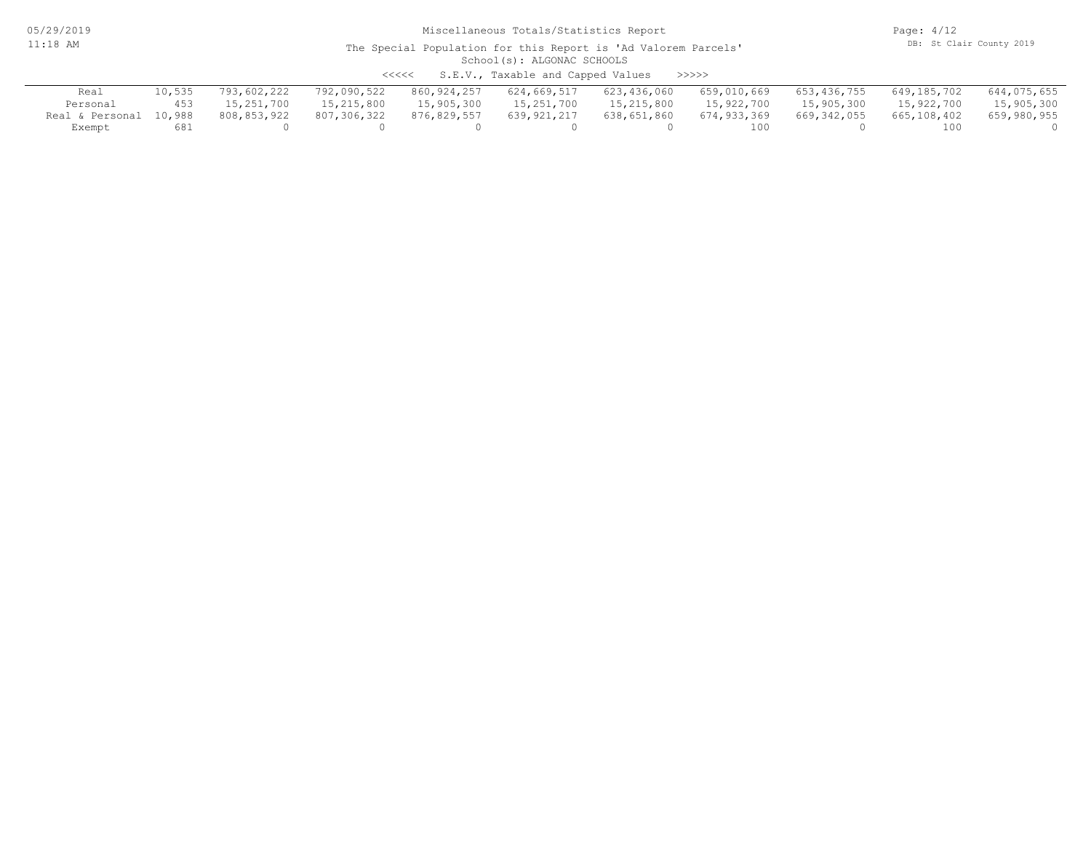05/29/2019 11:18 AM

#### School(s): ALGONAC SCHOOLS The Special Population for this Report is 'Ad Valorem Parcels'

<<<<< S.E.V., Taxable and Capped Values >>>>>

| Real                   |     | 793,602,222 | 792,090,522 | 860,924,257 | 624,669,517 | 623,436,060 | 659,010,669 | 653,436,755 | 649,185,702 | 644,075,655 |
|------------------------|-----|-------------|-------------|-------------|-------------|-------------|-------------|-------------|-------------|-------------|
| Personal               | 453 | 15,251,700  | 15,215,800  | 15,905,300  | 15,251,700  | 15,215,800  | 15,922,700  | 15,905,300  | 15,922,700  | 15,905,300  |
| Real & Personal 10,988 |     | 808,853,922 | 807,306,322 | 876,829,557 | 639,921,217 | 638,651,860 | 674,933,369 | 669,342,055 | 665,108,402 | 659,980,955 |
| Exempt                 | 681 |             |             |             |             |             | 100         |             | 100         |             |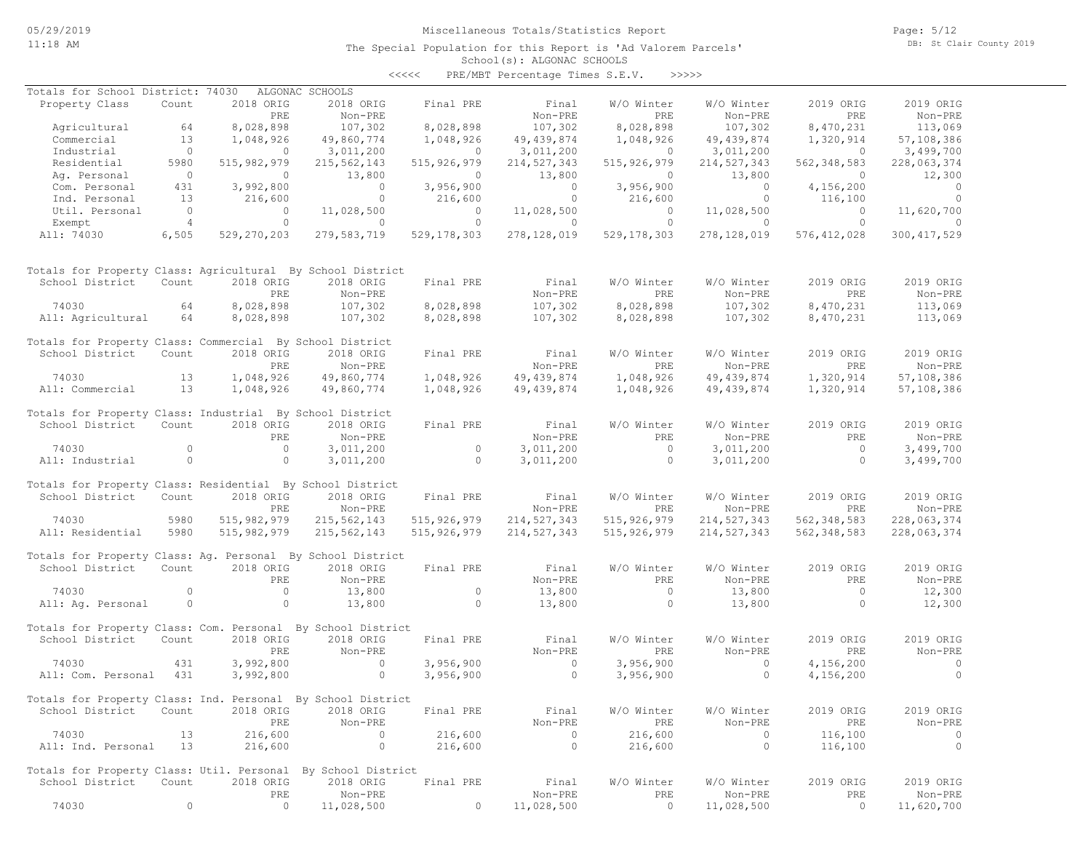Page: 5/12 DB: St Clair County 2019

| <<<< | PRE/MBT Percentage Times S.E.V. |  |  | >>>>> |
|------|---------------------------------|--|--|-------|
|------|---------------------------------|--|--|-------|

| Totals for School District: 74030                           |                |               | ALGONAC SCHOOLS    |               |               |               |               |               |               |
|-------------------------------------------------------------|----------------|---------------|--------------------|---------------|---------------|---------------|---------------|---------------|---------------|
| Property Class                                              | Count          | 2018 ORIG     | 2018 ORIG          | Final PRE     | Final         | W/O Winter    | W/O Winter    | 2019 ORIG     | 2019 ORIG     |
|                                                             |                | PRE           | Non-PRE            |               | Non-PRE       | PRE           | Non-PRE       | PRE           | Non-PRE       |
| Agricultural                                                | 64             | 8,028,898     | 107,302            | 8,028,898     | 107,302       | 8,028,898     | 107,302       | 8,470,231     | 113,069       |
| Commercial                                                  | 13             | 1,048,926     | 49,860,774         | 1,048,926     | 49, 439, 874  | 1,048,926     | 49, 439, 874  | 1,320,914     | 57,108,386    |
| Industrial                                                  | $\circ$        | 0             | 3,011,200          | $\circ$       | 3,011,200     | 0             | 3,011,200     | $\circ$       | 3,499,700     |
| Residential                                                 | 5980           | 515,982,979   | 215,562,143        | 515, 926, 979 | 214, 527, 343 | 515, 926, 979 | 214,527,343   | 562, 348, 583 | 228,063,374   |
| Ag. Personal                                                | $\circ$        | $\circ$       | 13,800             | $\circ$       | 13,800        | $\circ$       | 13,800        | $\circ$       | 12,300        |
| Com. Personal                                               | 431            | 3,992,800     | $\circ$            | 3,956,900     | $\circ$       | 3,956,900     | $\circ$       | 4,156,200     | $\circ$       |
| Ind. Personal                                               | 13             | 216,600       | $\circ$            | 216,600       | $\circ$       | 216,600       | $\circ$       | 116,100       | $\circ$       |
| Util. Personal                                              | $\overline{0}$ | $\circ$       | 11,028,500         | $\circ$       | 11,028,500    | $\circ$       | 11,028,500    | $\circ$       | 11,620,700    |
| Exempt                                                      | $\overline{4}$ | $\circ$       | $\circ$            | $\circ$       | $\circ$       | $\circ$       | $\circ$       | $\circ$       | $\mathbf{0}$  |
| All: 74030                                                  | 6,505          | 529,270,203   | 279,583,719        | 529, 178, 303 | 278, 128, 019 | 529, 178, 303 | 278,128,019   | 576, 412, 028 | 300, 417, 529 |
|                                                             |                |               |                    |               |               |               |               |               |               |
| Totals for Property Class: Agricultural By School District  |                |               |                    |               |               |               |               |               |               |
| School District                                             | Count          | 2018 ORIG     | 2018 ORIG          | Final PRE     | Final         | W/O Winter    | W/O Winter    | 2019 ORIG     | 2019 ORIG     |
|                                                             |                | PRE           | Non-PRE            |               | Non-PRE       | PRE           | Non-PRE       | PRE           | Non-PRE       |
|                                                             |                | 8,028,898     |                    |               |               |               |               |               |               |
| 74030                                                       | 64             |               | 107,302            | 8,028,898     | 107,302       | 8,028,898     | 107,302       | 8,470,231     | 113,069       |
| All: Agricultural                                           | 64             | 8,028,898     | 107,302            | 8,028,898     | 107,302       | 8,028,898     | 107,302       | 8,470,231     | 113,069       |
| Totals for Property Class: Commercial By School District    |                |               |                    |               |               |               |               |               |               |
| School District                                             | Count          | 2018 ORIG     | 2018 ORIG          | Final PRE     | Final         | W/O Winter    | W/O Winter    | 2019 ORIG     | 2019 ORIG     |
|                                                             |                | PRE           | Non-PRE            |               | Non-PRE       | PRE           | Non-PRE       | PRE           | Non-PRE       |
| 74030                                                       | 13             | 1,048,926     | 49,860,774         | 1,048,926     | 49, 439, 874  | 1,048,926     | 49, 439, 874  | 1,320,914     | 57,108,386    |
| All: Commercial                                             | 13             | 1,048,926     | 49,860,774         | 1,048,926     | 49, 439, 874  | 1,048,926     | 49, 439, 874  | 1,320,914     | 57,108,386    |
|                                                             |                |               |                    |               |               |               |               |               |               |
| Totals for Property Class: Industrial By School District    |                |               |                    |               |               |               |               |               |               |
| School District                                             | Count          | 2018 ORIG     | 2018 ORIG          | Final PRE     | Final         | W/O Winter    | W/O Winter    | 2019 ORIG     | 2019 ORIG     |
|                                                             |                | PRE           | Non-PRE            |               | Non-PRE       | PRE           | Non-PRE       | PRE           | Non-PRE       |
| 74030                                                       | $\circ$        | $\circ$       | 3,011,200          | $\circ$       | 3,011,200     | $\Omega$      | 3,011,200     | $\circ$       | 3,499,700     |
| All: Industrial                                             | $\circ$        | $\circ$       | 3,011,200          | $\Omega$      | 3,011,200     | $\Omega$      | 3,011,200     | $\Omega$      | 3,499,700     |
|                                                             |                |               |                    |               |               |               |               |               |               |
| Totals for Property Class: Residential By School District   |                |               |                    |               |               |               |               |               |               |
| School District                                             | Count          | 2018 ORIG     | 2018 ORIG          | Final PRE     | Final         | W/O Winter    | W/O Winter    | 2019 ORIG     | 2019 ORIG     |
|                                                             |                | PRE           | Non-PRE            |               | Non-PRE       | PRE           | Non-PRE       | PRE           | Non-PRE       |
| 74030                                                       | 5980           | 515, 982, 979 | 215,562,143        | 515, 926, 979 | 214, 527, 343 | 515, 926, 979 | 214,527,343   | 562, 348, 583 | 228,063,374   |
| All: Residential                                            | 5980           | 515, 982, 979 | 215,562,143        | 515, 926, 979 | 214,527,343   | 515, 926, 979 | 214, 527, 343 | 562, 348, 583 | 228,063,374   |
| Totals for Property Class: Aq. Personal By School District  |                |               |                    |               |               |               |               |               |               |
| School District                                             | Count          | 2018 ORIG     | 2018 ORIG          | Final PRE     | Final         | W/O Winter    | W/O Winter    | 2019 ORIG     | 2019 ORIG     |
|                                                             |                | PRE           | Non-PRE            |               | Non-PRE       | PRE           | Non-PRE       | PRE           | Non-PRE       |
| 74030                                                       | $\circ$        | $\circ$       | 13,800             | $\circ$       | 13,800        | $\circ$       | 13,800        | $\circ$       | 12,300        |
| All: Ag. Personal                                           | $\circ$        | $\circ$       | 13,800             | $\circ$       | 13,800        | $\circ$       | 13,800        | $\circ$       | 12,300        |
|                                                             |                |               |                    |               |               |               |               |               |               |
| Totals for Property Class: Com. Personal By School District |                |               |                    |               |               |               |               |               |               |
| School District                                             | Count          | 2018 ORIG     | 2018 ORIG          | Final PRE     | Final         | W/O Winter    | W/O Winter    | 2019 ORIG     | 2019 ORIG     |
|                                                             |                | PRE           | Non-PRE            |               | Non-PRE       | PRE           | Non-PRE       | PRE           | Non-PRE       |
| 74030                                                       | 431            | 3,992,800     | $\circ$            | 3,956,900     | $\Omega$      | 3,956,900     | $\circ$       | 4,156,200     | $\circ$       |
| All: Com. Personal                                          | 431            | 3,992,800     | $\circ$            | 3,956,900     | $\circ$       | 3,956,900     | $\circ$       | 4,156,200     | $\circ$       |
|                                                             |                |               |                    |               |               |               |               |               |               |
| Totals for Property Class: Ind. Personal By School District |                |               |                    |               |               |               |               |               |               |
| School District                                             | Count          | 2018 ORIG     | 2018 ORIG          | Final PRE     | Final         | W/O Winter    | W/O Winter    | 2019 ORIG     | 2019 ORIG     |
|                                                             |                | PRE           | Non-PRE            |               | Non-PRE       | PRE           | Non-PRE       | PRE           | Non-PRE       |
| 74030                                                       | 13             | 216,600       | $\circ$            | 216,600       | 0             | 216,600       | $\circ$       | 116,100       | 0             |
| All: Ind. Personal                                          | 13             | 216,600       | $\circ$            | 216,600       | $\circ$       | 216,600       | $\circ$       | 116,100       | $\circ$       |
|                                                             |                |               |                    |               |               |               |               |               |               |
| Totals for Property Class: Util. Personal                   |                |               | By School District |               |               |               |               |               |               |
| School District                                             | Count          | 2018 ORIG     | 2018 ORIG          | Final PRE     | Final         | W/O Winter    | W/O Winter    | 2019 ORIG     | 2019 ORIG     |
|                                                             |                | PRE           | Non-PRE            |               | Non-PRE       | PRE           | Non-PRE       | PRE           | Non-PRE       |
| 74030                                                       | $\circ$        | 0             | 11,028,500         | $\Omega$      | 11,028,500    | $\circ$       | 11,028,500    | 0             | 11,620,700    |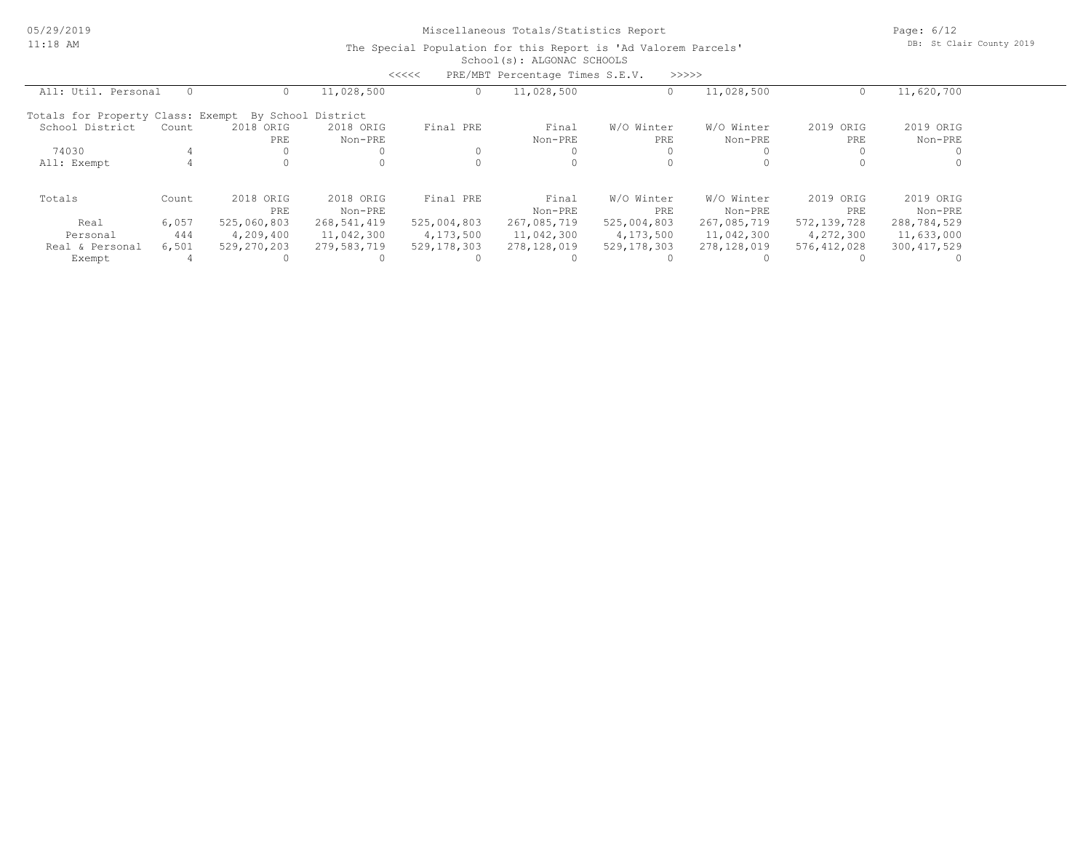Page: 6/12 DB: St Clair County 2019

|                                   |       |             |                    | $\prec$ <<<< | PRE/MBT Percentage Times S.E.V. |             | >>>>>       |               |               |
|-----------------------------------|-------|-------------|--------------------|--------------|---------------------------------|-------------|-------------|---------------|---------------|
| All: Util. Personal               |       |             | 11,028,500         |              | 11,028,500                      |             | 11,028,500  | 0             | 11,620,700    |
| Totals for Property Class: Exempt |       |             | By School District |              |                                 |             |             |               |               |
| School District                   | Count | 2018 ORIG   | 2018 ORIG          | Final PRE    | Final                           | W/O Winter  | W/O Winter  | 2019 ORIG     | 2019 ORIG     |
|                                   |       | PRE         | Non-PRE            |              | Non-PRE                         | PRE         | Non-PRE     | PRE           | Non-PRE       |
| 74030                             |       |             |                    |              |                                 |             |             |               |               |
| All: Exempt                       |       |             |                    |              |                                 |             |             |               |               |
| Totals                            | Count | 2018 ORIG   | 2018 ORIG          | Final PRE    | Final                           | W/O Winter  | W/O Winter  | 2019 ORIG     | 2019 ORIG     |
|                                   |       | PRE         | Non-PRE            |              | Non-PRE                         | PRE         | Non-PRE     | PRE           | Non-PRE       |
| Real                              | 6,057 | 525,060,803 | 268,541,419        | 525,004,803  | 267,085,719                     | 525,004,803 | 267,085,719 | 572, 139, 728 | 288,784,529   |
| Personal                          | 444   | 4,209,400   | 11,042,300         | 4,173,500    | 11,042,300                      | 4,173,500   | 11,042,300  | 4,272,300     | 11,633,000    |
| Real & Personal                   | 6,501 | 529,270,203 | 279,583,719        | 529,178,303  | 278,128,019                     | 529,178,303 | 278,128,019 | 576, 412, 028 | 300, 417, 529 |
| Exempt                            |       |             |                    |              |                                 |             |             |               |               |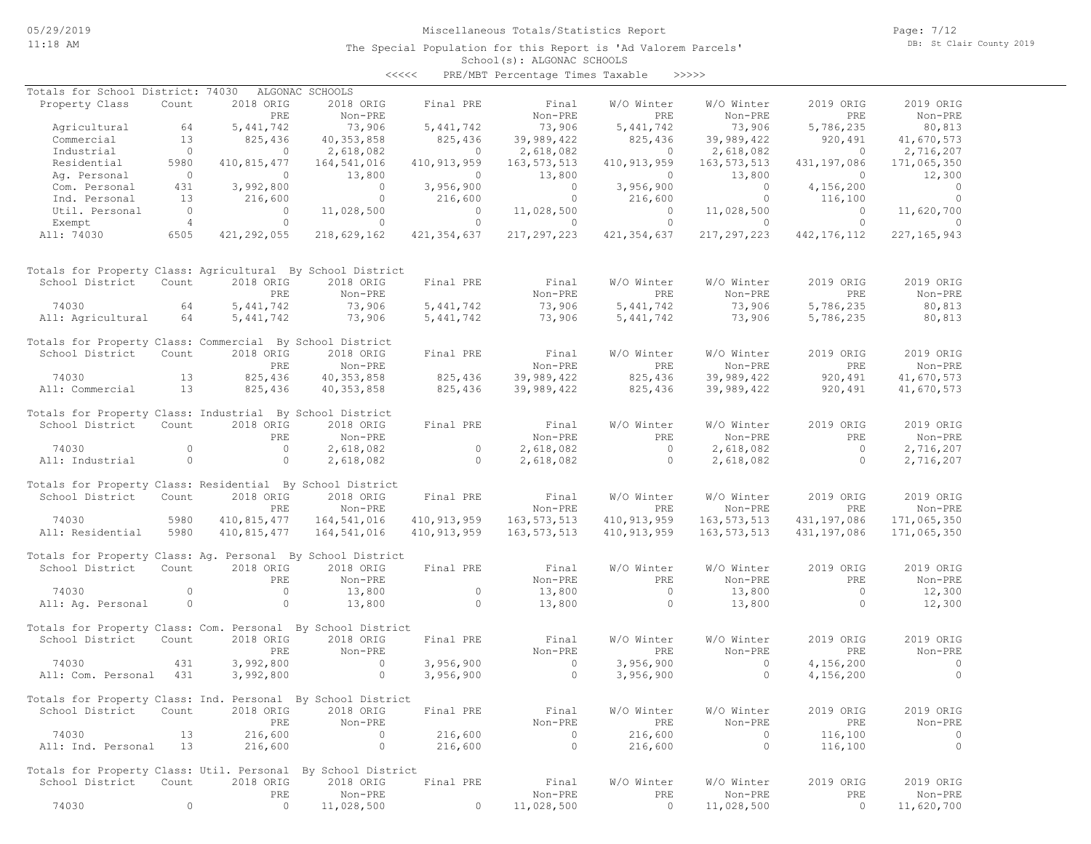Page: 7/12 DB: St Clair County 2019

| くくくくく | PRE/MBT Percentage Times Taxable |  |  | >>>>> |
|-------|----------------------------------|--|--|-------|
|-------|----------------------------------|--|--|-------|

| Totals for School District: 74030                            |                |             | ALGONAC SCHOOLS |               |               |                |                |                |                |
|--------------------------------------------------------------|----------------|-------------|-----------------|---------------|---------------|----------------|----------------|----------------|----------------|
| Property Class                                               | Count          | 2018 ORIG   | 2018 ORIG       | Final PRE     | Final         | W/O Winter     | W/O Winter     | 2019 ORIG      | 2019 ORIG      |
|                                                              |                | PRE         | Non-PRE         |               | Non-PRE       | PRE            | Non-PRE        | PRE            | Non-PRE        |
| Agricultural                                                 | 64             | 5, 441, 742 | 73,906          | 5,441,742     | 73,906        | 5,441,742      | 73,906         | 5,786,235      | 80,813         |
| Commercial                                                   | 13             | 825,436     | 40, 353, 858    | 825,436       | 39,989,422    | 825,436        | 39,989,422     | 920,491        | 41,670,573     |
| Industrial                                                   | $\circ$        | $\circ$     | 2,618,082       | 0             | 2,618,082     | $\circ$        | 2,618,082      | $\circ$        | 2,716,207      |
| Residential                                                  | 5980           | 410,815,477 | 164,541,016     | 410, 913, 959 | 163, 573, 513 | 410, 913, 959  | 163, 573, 513  | 431,197,086    | 171,065,350    |
| Aq. Personal                                                 | $\overline{0}$ | $\circ$     | 13,800          | $\mathbf{0}$  | 13,800        | $\circ$        | 13,800         | $\overline{0}$ | 12,300         |
| Com. Personal                                                | 431            | 3,992,800   | $\circ$         | 3,956,900     | $\circ$       | 3,956,900      | $\overline{0}$ | 4,156,200      | $\overline{0}$ |
| Ind. Personal                                                | 13             | 216,600     | $\circ$         | 216,600       | $\circ$       | 216,600        | $\circ$        | 116,100        | $\circ$        |
| Util. Personal                                               | $\overline{0}$ | $\circ$     | 11,028,500      | $\circ$       | 11,028,500    | $\overline{0}$ | 11,028,500     | $\overline{0}$ | 11,620,700     |
| Exempt                                                       | $\overline{4}$ | $\circ$     | $\circ$         | $\circ$       | $\circ$       | $\circ$        | $\circ$        | $\circ$        | $\Omega$       |
| All: 74030                                                   | 6505           | 421,292,055 | 218,629,162     | 421, 354, 637 | 217, 297, 223 | 421, 354, 637  | 217, 297, 223  | 442, 176, 112  | 227, 165, 943  |
|                                                              |                |             |                 |               |               |                |                |                |                |
| Totals for Property Class: Agricultural By School District   |                |             |                 |               |               |                |                |                |                |
| School District                                              | Count          | 2018 ORIG   | 2018 ORIG       | Final PRE     | Final         | W/O Winter     | W/O Winter     | 2019 ORIG      | 2019 ORIG      |
|                                                              |                | PRE         | Non-PRE         |               | Non-PRE       | PRE            | Non-PRE        | PRE            | Non-PRE        |
| 74030                                                        | 64             | 5, 441, 742 | 73,906          | 5,441,742     | 73,906        | 5, 441, 742    | 73,906         | 5,786,235      | 80,813         |
| All: Agricultural                                            | 64             | 5, 441, 742 | 73,906          | 5, 441, 742   | 73,906        | 5, 441, 742    | 73,906         | 5,786,235      | 80,813         |
|                                                              |                |             |                 |               |               |                |                |                |                |
| Totals for Property Class: Commercial By School District     |                |             |                 |               |               |                |                |                |                |
| School District                                              | Count          | 2018 ORIG   | 2018 ORIG       | Final PRE     | Final         | W/O Winter     | W/O Winter     | 2019 ORIG      | 2019 ORIG      |
|                                                              |                | PRE         | Non-PRE         |               | Non-PRE       | PRE            | Non-PRE        | PRE            | Non-PRE        |
| 74030                                                        | 13             | 825,436     | 40, 353, 858    | 825,436       | 39,989,422    | 825,436        | 39,989,422     | 920,491        | 41,670,573     |
| All: Commercial                                              | 13             | 825,436     | 40, 353, 858    | 825,436       | 39,989,422    | 825,436        | 39,989,422     | 920,491        | 41,670,573     |
|                                                              |                |             |                 |               |               |                |                |                |                |
| Totals for Property Class: Industrial By School District     |                |             |                 |               |               |                |                |                |                |
| School District                                              | Count          | 2018 ORIG   | 2018 ORIG       | Final PRE     | Final         | W/O Winter     | W/O Winter     | 2019 ORIG      | 2019 ORIG      |
|                                                              |                | PRE         | Non-PRE         |               | Non-PRE       | PRE            | Non-PRE        | PRE            | Non-PRE        |
| 74030                                                        | $\circ$        | $\circ$     | 2,618,082       | $\circ$       | 2,618,082     | $\circ$        | 2,618,082      | $\circ$        | 2,716,207      |
| All: Industrial                                              | $\circ$        | $\circ$     | 2,618,082       | $\circ$       | 2,618,082     | $\circ$        | 2,618,082      | $\circ$        | 2,716,207      |
|                                                              |                |             |                 |               |               |                |                |                |                |
| Totals for Property Class: Residential By School District    |                |             |                 |               |               |                |                |                |                |
| School District                                              | Count          | 2018 ORIG   | 2018 ORIG       | Final PRE     | Final         | W/O Winter     | W/O Winter     | 2019 ORIG      | 2019 ORIG      |
|                                                              |                | PRE         | Non-PRE         |               | Non-PRE       | PRE            | Non-PRE        | PRE            | Non-PRE        |
| 74030                                                        | 5980           | 410,815,477 | 164,541,016     | 410, 913, 959 | 163,573,513   | 410, 913, 959  | 163, 573, 513  | 431,197,086    | 171,065,350    |
| All: Residential                                             | 5980           | 410,815,477 | 164,541,016     | 410, 913, 959 | 163, 573, 513 | 410, 913, 959  | 163, 573, 513  | 431,197,086    | 171,065,350    |
|                                                              |                |             |                 |               |               |                |                |                |                |
| Totals for Property Class: Ag. Personal By School District   |                |             |                 |               |               |                |                |                |                |
| School District                                              | Count          | 2018 ORIG   | 2018 ORIG       | Final PRE     | Final         | W/O Winter     | W/O Winter     | 2019 ORIG      | 2019 ORIG      |
|                                                              |                | PRE         | Non-PRE         |               | Non-PRE       | PRE            | Non-PRE        | PRE            | Non-PRE        |
| 74030                                                        | $\circ$        | $\circ$     | 13,800          | $\circ$       | 13,800        | $\circ$        | 13,800         | $\circ$        | 12,300         |
| All: Ag. Personal                                            | $\circ$        | $\circ$     | 13,800          | $\circ$       | 13,800        | $\circ$        | 13,800         | $\circ$        | 12,300         |
|                                                              |                |             |                 |               |               |                |                |                |                |
| Totals for Property Class: Com. Personal By School District  |                |             |                 |               |               |                |                |                |                |
| School District                                              | Count          | 2018 ORIG   | 2018 ORIG       | Final PRE     | Final         | W/O Winter     | W/O Winter     | 2019 ORIG      | 2019 ORIG      |
|                                                              |                | PRE         | Non-PRE         |               | Non-PRE       | PRE            | Non-PRE        | PRE            | Non-PRE        |
| 74030                                                        | 431            | 3,992,800   | $\circ$         | 3,956,900     | $\circ$       | 3,956,900      | $\circ$        | 4,156,200      | $\circ$        |
| All: Com. Personal                                           | 431            | 3,992,800   | $\circ$         | 3,956,900     | $\circ$       | 3,956,900      | $\circ$        | 4,156,200      | $\circ$        |
|                                                              |                |             |                 |               |               |                |                |                |                |
| Totals for Property Class: Ind. Personal By School District  |                |             |                 |               |               |                |                |                |                |
| School District                                              | Count          | 2018 ORIG   | 2018 ORIG       | Final PRE     | Final         | W/O Winter     | W/O Winter     | 2019 ORIG      | 2019 ORIG      |
|                                                              |                | PRE         | Non-PRE         |               | Non-PRE       | PRE            | Non-PRE        | PRE            | Non-PRE        |
| 74030                                                        | 13             | 216,600     | $\circ$         | 216,600       | $\circ$       | 216,600        | $\mathbf{0}$   | 116,100        | 0              |
| All: Ind. Personal                                           | 13             | 216,600     | $\circ$         | 216,600       | $\circ$       | 216,600        | $\circ$        | 116,100        | $\circ$        |
|                                                              |                |             |                 |               |               |                |                |                |                |
| Totals for Property Class: Util. Personal By School District |                |             |                 |               |               |                |                |                |                |
| School District                                              | Count          | 2018 ORIG   | 2018 ORIG       | Final PRE     | Final         | W/O Winter     | W/O Winter     | 2019 ORIG      | 2019 ORIG      |
|                                                              |                | PRE         | Non-PRE         |               | Non-PRE       | PRE            | Non-PRE        | PRE            | Non-PRE        |
| 74030                                                        | 0              | $\circ$     | 11,028,500      | 0             | 11,028,500    | $\circ$        | 11,028,500     | 0              | 11,620,700     |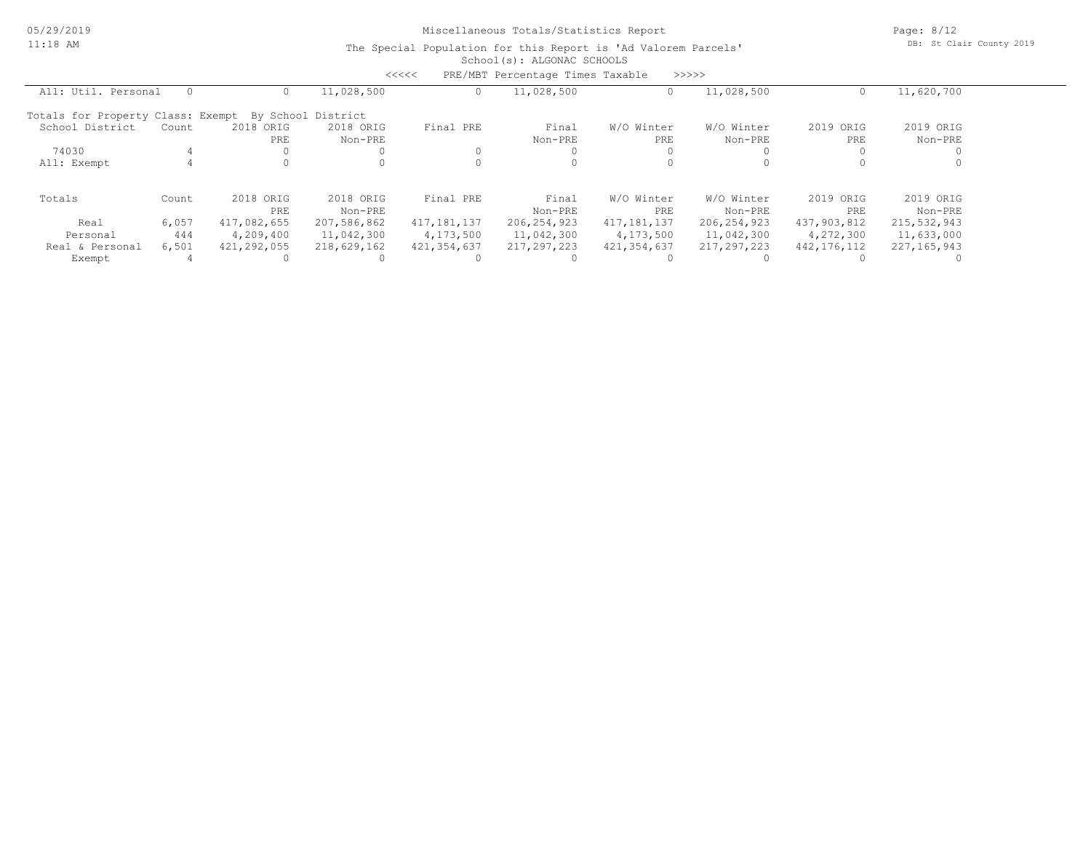Page: 8/12 DB: St Clair County 2019

|                                   |       |             |                    | <<<<             | PRE/MBT Percentage Times Taxable |               | >>>>>         |               |               |
|-----------------------------------|-------|-------------|--------------------|------------------|----------------------------------|---------------|---------------|---------------|---------------|
| All: Util. Personal               |       |             | 11,028,500         | $\left( \right)$ | 11,028,500                       |               | 11,028,500    |               | 11,620,700    |
| Totals for Property Class: Exempt |       |             | By School District |                  |                                  |               |               |               |               |
| School District                   | Count | 2018 ORIG   | 2018 ORIG          | Final PRE        | Final                            | W/O Winter    | W/O Winter    | 2019<br>ORIG  | 2019 ORIG     |
|                                   |       | PRE         | Non-PRE            |                  | Non-PRE                          | PRE           | Non-PRE       | PRE           | Non-PRE       |
| 74030                             |       |             |                    | $\Omega$         |                                  |               |               |               |               |
| All: Exempt                       |       |             |                    |                  |                                  |               |               |               |               |
| Totals                            | Count | 2018 ORIG   | 2018 ORIG          | Final PRE        | Final                            | W/O Winter    | W/O Winter    | 2019 ORIG     | 2019 ORIG     |
|                                   |       | PRE         | Non-PRE            |                  | Non-PRE                          | PRE           | Non-PRE       | PRE           | Non-PRE       |
| Real                              | 6,057 | 417,082,655 | 207,586,862        | 417, 181, 137    | 206, 254, 923                    | 417, 181, 137 | 206, 254, 923 | 437,903,812   | 215,532,943   |
| Personal                          | 444   | 4,209,400   | 11,042,300         | 4,173,500        | 11,042,300                       | 4,173,500     | 11,042,300    | 4,272,300     | 11,633,000    |
| Real & Personal                   | 6,501 | 421,292,055 | 218,629,162        | 421, 354, 637    | 217,297,223                      | 421, 354, 637 | 217,297,223   | 442, 176, 112 | 227, 165, 943 |
| Exempt                            |       |             |                    |                  |                                  |               |               |               |               |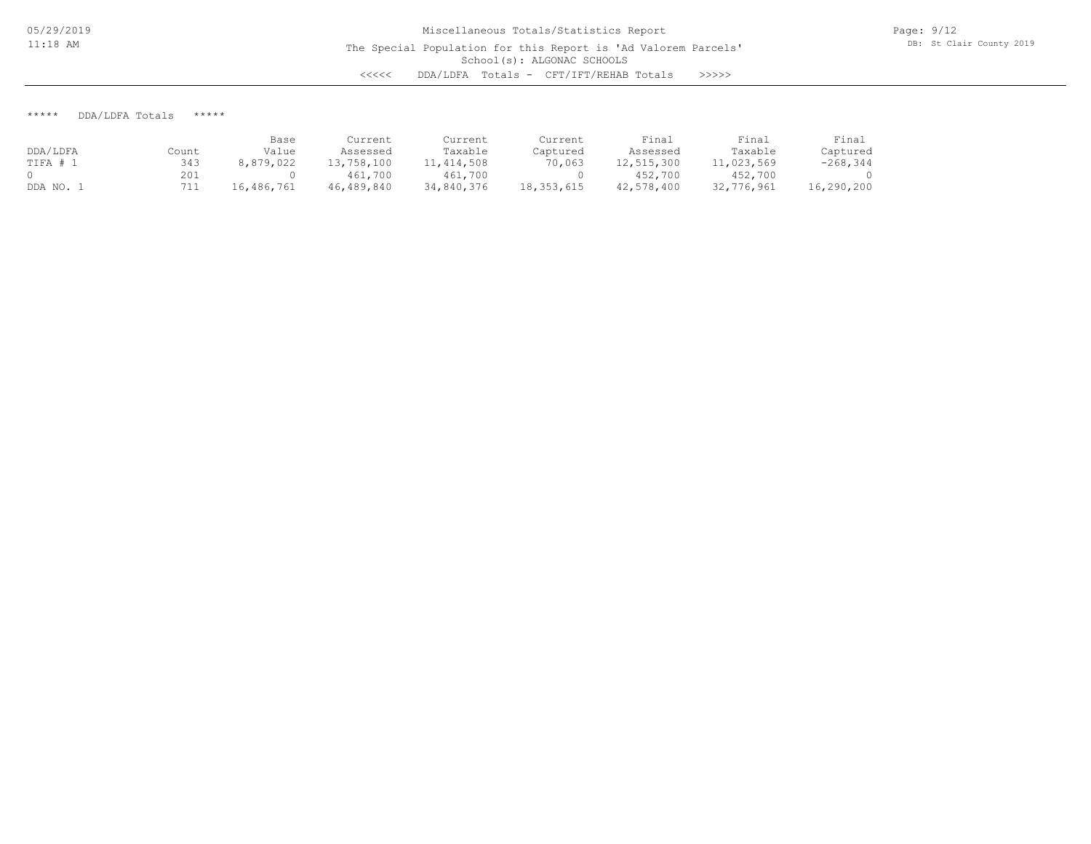\*\*\*\*\* DDA/LDFA Totals \*\*\*\*\*

|          |       | Base       | Current    | Current    | Current    | Final      | Final      | Final       |
|----------|-------|------------|------------|------------|------------|------------|------------|-------------|
| DDA/LDFA | Count | Value      | Assessed   | Taxable    | Captured   | Assessed   | Taxable    | Captured    |
| TIFA # 1 | 343   | 8,879,022  | 13,758,100 | 11,414,508 | 70,063     | 12,515,300 | 11,023,569 | $-268, 344$ |
|          | 201   |            | 461,700    | 461,700    |            | 452,700    | 452,700    |             |
| DDA NO.  | 711   | 16,486,761 | 46,489,840 | 34,840,376 | 18,353,615 | 42,578,400 | 32,776,961 | 16,290,200  |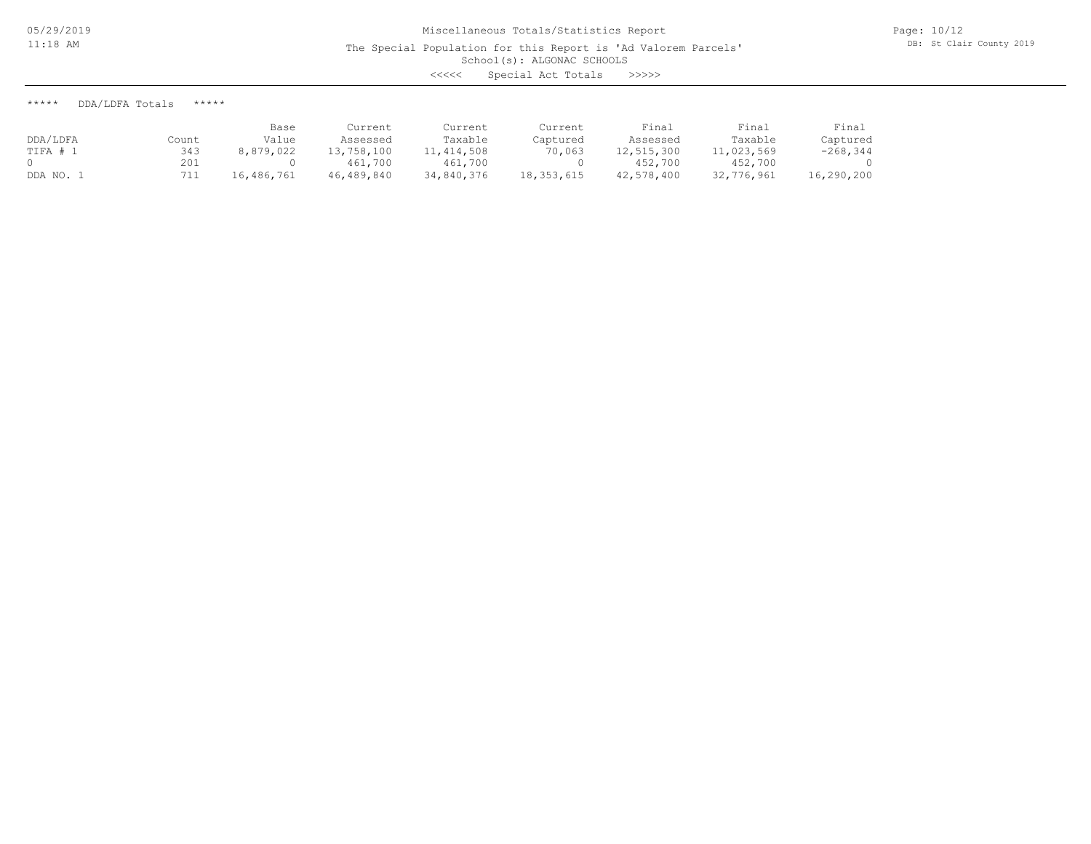The Special Population for this Report is 'Ad Valorem Parcels'

School(s): ALGONAC SCHOOLS

<<<<< Special Act Totals >>>>>

\*\*\*\*\* DDA/LDFA Totals \*\*\*\*\*

|          |       | Base       | Current    | Current    | Current      | Final      | Final      | Final       |
|----------|-------|------------|------------|------------|--------------|------------|------------|-------------|
| DDA/LDFA | Count | Value      | Assessed   | Taxable    | Captured     | Assessed   | Taxable    | Captured    |
| TIFA # 1 | 343   | 8,879,022  | 13,758,100 | 11,414,508 | 70,063       | 12,515,300 | 11,023,569 | $-268, 344$ |
|          | 201   |            | 461,700    | 461,700    |              | 452,700    | 452,700    |             |
| DDA NO.  | 711   | 16,486,761 | 46,489,840 | 34,840,376 | 18, 353, 615 | 42,578,400 | 32,776,961 | 16,290,200  |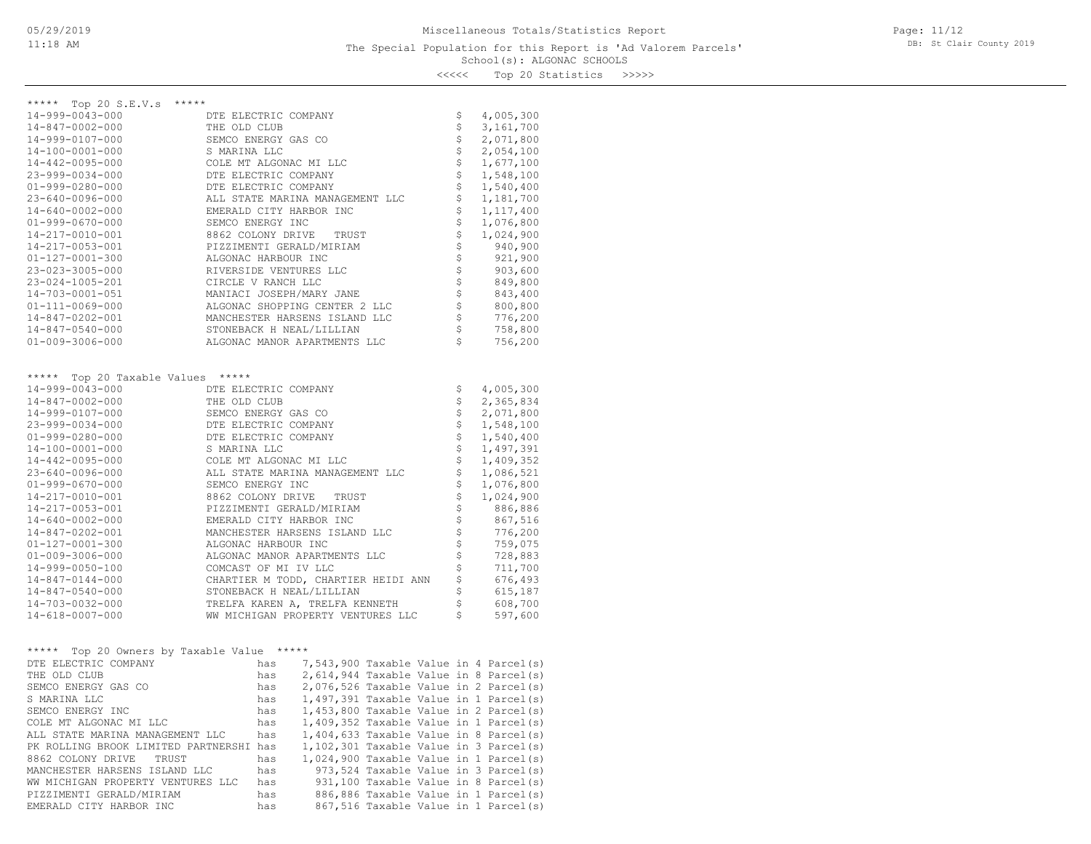### School(s): ALGONAC SCHOOLS The Special Population for this Report is 'Ad Valorem Parcels'

Page: 11/12 DB: St Clair County 2019

<<<<< Top 20 Statistics >>>>>

| ***** Top 20 S.E.V.s<br>*****                                                                                                                                                                                                              |                      |     |                                     |  |                                |                                        |
|--------------------------------------------------------------------------------------------------------------------------------------------------------------------------------------------------------------------------------------------|----------------------|-----|-------------------------------------|--|--------------------------------|----------------------------------------|
| 14-999-0043-000                                                                                                                                                                                                                            | DTE ELECTRIC COMPANY |     |                                     |  | \$                             | 4,005,300                              |
| 14-847-0002-000                                                                                                                                                                                                                            | THE OLD CLUB         |     |                                     |  | \$                             | 3,161,700                              |
| 14-999-0107-000                                                                                                                                                                                                                            | SEMCO ENERGY GAS CO  |     |                                     |  | \$                             | 2,071,800                              |
| 14-100-0001-000                                                                                                                                                                                                                            | S MARINA LLC         |     |                                     |  | \$                             | 2,054,100                              |
| 14-442-0095-000                                                                                                                                                                                                                            |                      |     | COLE MT ALGONAC MI LLC              |  | \$                             | 1,677,100                              |
| 23-999-0034-000                                                                                                                                                                                                                            | DTE ELECTRIC COMPANY |     |                                     |  | \$                             | 1,548,100                              |
| $01 - 999 - 0280 - 000$                                                                                                                                                                                                                    | DTE ELECTRIC COMPANY |     |                                     |  | $\dot{\tilde{\varsigma}}$      | 1,540,400                              |
| 23-640-0096-000                                                                                                                                                                                                                            |                      |     | ALL STATE MARINA MANAGEMENT LLC     |  | \$                             |                                        |
|                                                                                                                                                                                                                                            |                      |     |                                     |  | \$                             | 1,181,700                              |
| $14 - 640 - 0002 - 000$                                                                                                                                                                                                                    |                      |     | EMERALD CITY HARBOR INC             |  |                                | 1, 117, 400                            |
| $01 - 999 - 0670 - 000$                                                                                                                                                                                                                    | SEMCO ENERGY INC     |     |                                     |  | \$                             | 1,076,800                              |
| 14-217-0010-001                                                                                                                                                                                                                            | 8862 COLONY DRIVE    |     | TRUST                               |  | \$                             | 1,024,900                              |
| 14-217-0053-001                                                                                                                                                                                                                            |                      |     | PIZZIMENTI GERALD/MIRIAM            |  | \$                             | 940,900                                |
| $01 - 127 - 0001 - 300$                                                                                                                                                                                                                    | ALGONAC HARBOUR INC  |     |                                     |  | \$                             | 921,900                                |
| 23-023-3005-000                                                                                                                                                                                                                            |                      |     | RIVERSIDE VENTURES LLC              |  | $\boldsymbol{\xi}$             | 903,600                                |
| 23-024-1005-201                                                                                                                                                                                                                            | CIRCLE V RANCH LLC   |     |                                     |  | $\dot{\varsigma}$              | 849,800                                |
| 14-703-0001-051                                                                                                                                                                                                                            |                      |     | MANIACI JOSEPH/MARY JANE            |  | $\ddot{\mathsf{s}}$            | 843,400                                |
| 01-111-0069-000                                                                                                                                                                                                                            |                      |     | ALGONAC SHOPPING CENTER 2 LLC       |  | \$                             | 800,800                                |
| 14-847-0202-001                                                                                                                                                                                                                            |                      |     | MANCHESTER HARSENS ISLAND LLC       |  | $\dot{\tilde{\mathbf{S}}}$     | 776,200                                |
| $14 - 847 - 0540 - 000$                                                                                                                                                                                                                    |                      |     | STONEBACK H NEAL/LILLIAN            |  | $\ddot{\mathsf{S}}$            | 758,800                                |
| $01 - 009 - 3006 - 000$                                                                                                                                                                                                                    |                      |     | ALGONAC MANOR APARTMENTS LLC        |  | $\mathsf{S}$                   | 756,200                                |
|                                                                                                                                                                                                                                            |                      |     |                                     |  |                                |                                        |
|                                                                                                                                                                                                                                            |                      |     |                                     |  |                                |                                        |
| ***** Top 20 Taxable Values *****                                                                                                                                                                                                          |                      |     |                                     |  |                                |                                        |
| 14-999-0043-000                                                                                                                                                                                                                            | DTE ELECTRIC COMPANY |     |                                     |  | \$                             | 4,005,300                              |
| 14-847-0002-000                                                                                                                                                                                                                            | THE OLD CLUB         |     |                                     |  | \$                             | 2,365,834                              |
| 14-999-0107-000                                                                                                                                                                                                                            | SEMCO ENERGY GAS CO  |     |                                     |  | \$                             | 2,071,800                              |
| 23-999-0034-000                                                                                                                                                                                                                            | DTE ELECTRIC COMPANY |     |                                     |  | \$                             | 1,548,100                              |
| $01 - 999 - 0280 - 000$                                                                                                                                                                                                                    | DTE ELECTRIC COMPANY |     |                                     |  | $\boldsymbol{\dot{\varsigma}}$ | 1,540,400                              |
| 14-100-0001-000                                                                                                                                                                                                                            | S MARINA LLC         |     |                                     |  | \$                             | 1,497,391                              |
| 14-442-0095-000                                                                                                                                                                                                                            |                      |     | COLE MT ALGONAC MI LLC              |  | \$                             | 1,409,352                              |
| 23-640-0096-000                                                                                                                                                                                                                            |                      |     | ALL STATE MARINA MANAGEMENT LLC     |  | \$                             | 1,086,521                              |
| $01 - 999 - 0670 - 000$                                                                                                                                                                                                                    | SEMCO ENERGY INC     |     |                                     |  | $\dot{\hat{\mathbf{s}}}$       | 1,076,800                              |
| 14-217-0010-001                                                                                                                                                                                                                            |                      |     | 8862 COLONY DRIVE TRUST             |  | \$                             | 1,024,900                              |
| 14-217-0053-001                                                                                                                                                                                                                            |                      |     | PIZZIMENTI GERALD/MIRIAM            |  | \$                             | 886,886                                |
|                                                                                                                                                                                                                                            |                      |     | EMERALD CITY HARBOR INC             |  | \$                             | 867,516                                |
| $14 - 640 - 0002 - 000$                                                                                                                                                                                                                    |                      |     |                                     |  |                                |                                        |
| 14-847-0202-001                                                                                                                                                                                                                            |                      |     | MANCHESTER HARSENS ISLAND LLC       |  | \$                             | 776,200                                |
| 01-127-0001-300                                                                                                                                                                                                                            | ALGONAC HARBOUR INC  |     |                                     |  | $\boldsymbol{\dot{\varsigma}}$ | 759,075                                |
| $01 - 009 - 3006 - 000$                                                                                                                                                                                                                    |                      |     | ALGONAC MANOR APARTMENTS LLC        |  | $\boldsymbol{\dot{\varsigma}}$ | 728,883                                |
| 14-999-0050-100                                                                                                                                                                                                                            | COMCAST OF MI IV LLC |     |                                     |  | \$                             | 711,700                                |
| $14 - 847 - 0144 - 000$                                                                                                                                                                                                                    |                      |     | CHARTIER M TODD, CHARTIER HEIDI ANN |  | \$                             | 676,493                                |
| 14-847-0540-000                                                                                                                                                                                                                            |                      |     | STONEBACK H NEAL/LILLIAN            |  | \$                             | 615,187                                |
| 14-703-0032-000                                                                                                                                                                                                                            |                      |     | TRELFA KAREN A, TRELFA KENNETH      |  | \$                             | 608,700                                |
| 14-618-0007-000                                                                                                                                                                                                                            |                      |     | WW MICHIGAN PROPERTY VENTURES LLC   |  | \$                             | 597,600                                |
|                                                                                                                                                                                                                                            |                      |     |                                     |  |                                |                                        |
|                                                                                                                                                                                                                                            |                      |     |                                     |  |                                |                                        |
| ***** Top 20 Owners by Taxable Value *****                                                                                                                                                                                                 |                      |     |                                     |  |                                |                                        |
| DTE ELECTRIC COMPANY                                                                                                                                                                                                                       |                      | has |                                     |  |                                | 7,543,900 Taxable Value in 4 Parcel(s) |
| THE OLD CLUB                                                                                                                                                                                                                               |                      | has |                                     |  |                                | 2,614,944 Taxable Value in 8 Parcel(s) |
| SEMCO ENERGY GAS CO                                                                                                                                                                                                                        |                      | has |                                     |  |                                | 2,076,526 Taxable Value in 2 Parcel(s) |
| S MARINA LLC                                                                                                                                                                                                                               |                      | has |                                     |  |                                | 1,497,391 Taxable Value in 1 Parcel(s) |
| SEMCO ENERGY INC                                                                                                                                                                                                                           |                      |     |                                     |  |                                | 1,453,800 Taxable Value in 2 Parcel(s) |
| COLE MT ALGONAC MI LLC<br>COLE MT ALGONAC MI LLC<br>ALL STATE MARINA MANAGEMENT LLC<br>PE ROLLING BROOK LIMITED PARTNERSHI has<br>1,102,301 Taxable Value in 3 Parcel(s)<br>PE ROLLING BROOK LIMITED PARTNERSHI has<br>1,102,301 Taxable V |                      |     |                                     |  |                                |                                        |
|                                                                                                                                                                                                                                            |                      |     |                                     |  |                                |                                        |
|                                                                                                                                                                                                                                            |                      |     |                                     |  |                                |                                        |
| 8862 COLONY DRIVE TRUST<br>has                                                                                                                                                                                                             |                      |     |                                     |  |                                | 1,024,900 Taxable Value in 1 Parcel(s) |
| MANCHESTER HARSENS ISLAND LLC                                                                                                                                                                                                              |                      | has |                                     |  |                                | 973,524 Taxable Value in 3 Parcel(s)   |
| WW MICHIGAN PROPERTY VENTURES LLC                                                                                                                                                                                                          |                      | has |                                     |  |                                | 931,100 Taxable Value in 8 Parcel(s)   |
|                                                                                                                                                                                                                                            |                      |     |                                     |  |                                |                                        |

EMERALD CITY HARBOR INC has 867,516 Taxable Value in 1 Parcel(s) PIZZIMENTI GERALD/MIRIAM has 886,886 Taxable Value in 1 Parcel(s)